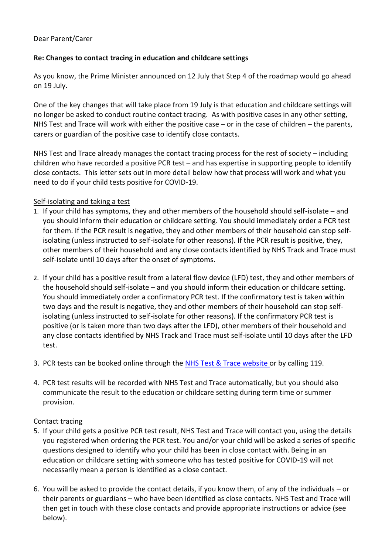## Dear Parent/Carer

## **Re: Changes to contact tracing in education and childcare settings**

As you know, the Prime Minister announced on 12 July that Step 4 of the roadmap would go ahead on 19 July.

One of the key changes that will take place from 19 July is that education and childcare settings will no longer be asked to conduct routine contact tracing. As with positive cases in any other setting, NHS Test and Trace will work with either the positive case – or in the case of children – the parents, carers or guardian of the positive case to identify close contacts.

NHS Test and Trace already manages the contact tracing process for the rest of society – including children who have recorded a positive PCR test – and has expertise in supporting people to identify close contacts. This letter sets out in more detail below how that process will work and what you need to do if your child tests positive for COVID-19.

#### Self-isolating and taking a test

- 1. If your child has symptoms, they and other members of the household should self-isolate and you should inform their education or childcare setting. You should immediately order a PCR test for them. If the PCR result is negative, they and other members of their household can stop selfisolating (unless instructed to self-isolate for other reasons). If the PCR result is positive, they, other members of their household and any close contacts identified by NHS Track and Trace must self-isolate until 10 days after the onset of symptoms.
- 2. If your child has a positive result from a lateral flow device (LFD) test, they and other members of the household should self-isolate – and you should inform their education or childcare setting. You should immediately order a confirmatory PCR test. If the confirmatory test is taken within two days and the result is negative, they and other members of their household can stop selfisolating (unless instructed to self-isolate for other reasons). If the confirmatory PCR test is positive (or is taken more than two days after the LFD), other members of their household and any close contacts identified by NHS Track and Trace must self-isolate until 10 days after the LFD test.
- 3. PCR tests can be booked online through the [NHS Test & Trace website](https://www.nhs.uk/conditions/coronavirus-covid-19/testing/) or by calling 119.
- 4. PCR test results will be recorded with NHS Test and Trace automatically, but you should also communicate the result to the education or childcare setting during term time or summer provision.

#### Contact tracing

- 5. If your child gets a positive PCR test result, NHS Test and Trace will contact you, using the details you registered when ordering the PCR test. You and/or your child will be asked a series of specific questions designed to identify who your child has been in close contact with. Being in an education or childcare setting with someone who has tested positive for COVID-19 will not necessarily mean a person is identified as a close contact.
- 6. You will be asked to provide the contact details, if you know them, of any of the individuals or their parents or guardians – who have been identified as close contacts. NHS Test and Trace will then get in touch with these close contacts and provide appropriate instructions or advice (see below).